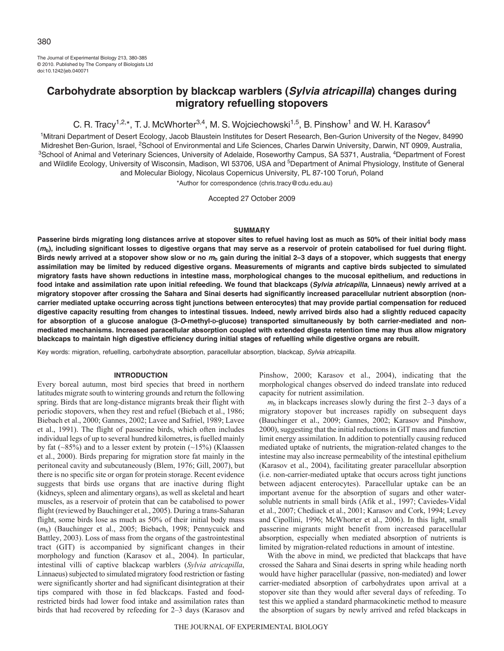The Journal of Experimental Biology 213, 380-385 © 2010. Published by The Company of Biologists Ltd doi:10.1242/jeb.040071

# **Carbohydrate absorption by blackcap warblers (Sylvia atricapilla) changes during migratory refuelling stopovers**

C. R. Tracy<sup>1,2,\*</sup>, T. J. McWhorter<sup>3,4</sup>, M. S. Wojciechowski<sup>1,5</sup>, B. Pinshow<sup>1</sup> and W. H. Karasov<sup>4</sup>

<sup>1</sup>Mitrani Department of Desert Ecology, Jacob Blaustein Institutes for Desert Research, Ben-Gurion University of the Negev, 84990 Midreshet Ben-Gurion, Israel, 2School of Environmental and Life Sciences, Charles Darwin University, Darwin, NT 0909, Australia, <sup>3</sup>School of Animal and Veterinary Sciences, University of Adelaide, Roseworthy Campus, SA 5371, Australia, <sup>4</sup>Department of Forest and Wildlife Ecology, University of Wisconsin, Madison, WI 53706, USA and <sup>5</sup>Department of Animal Physiology, Institute of General and Molecular Biology, Nicolaus Copernicus University, PL 87-100 Toruń, Poland

\*Author for correspondence (chris.tracy@cdu.edu.au)

Accepted 27 October 2009

# **SUMMARY**

**Passerine birds migrating long distances arrive at stopover sites to refuel having lost as much as 50% of their initial body mass (mb), including significant losses to digestive organs that may serve as a reservoir of protein catabolised for fuel during flight. Birds newly arrived at a stopover show slow or no <sup>m</sup><sup>b</sup> gain during the initial 2–3 days of a stopover, which suggests that energy assimilation may be limited by reduced digestive organs. Measurements of migrants and captive birds subjected to simulated migratory fasts have shown reductions in intestine mass, morphological changes to the mucosal epithelium, and reductions in food intake and assimilation rate upon initial refeeding. We found that blackcaps (Sylvia atricapilla, Linnaeus) newly arrived at a migratory stopover after crossing the Sahara and Sinai deserts had significantly increased paracellular nutrient absorption (noncarrier mediated uptake occurring across tight junctions between enterocytes) that may provide partial compensation for reduced digestive capacity resulting from changes to intestinal tissues. Indeed, newly arrived birds also had a slightly reduced capacity** for absorption of a glucose analogue (3-*O*-methyl-p-glucose) transported simultaneously by both carrier-mediated and non**mediated mechanisms. Increased paracellular absorption coupled with extended digesta retention time may thus allow migratory blackcaps to maintain high digestive efficiency during initial stages of refuelling while digestive organs are rebuilt.**

Key words: migration, refuelling, carbohydrate absorption, paracellular absorption, blackcap, Sylvia atricapilla.

# **INTRODUCTION**

Every boreal autumn, most bird species that breed in northern latitudes migrate south to wintering grounds and return the following spring. Birds that are long-distance migrants break their flight with periodic stopovers, when they rest and refuel (Biebach et al., 1986; Biebach et al., 2000; Gannes, 2002; Lavee and Safriel, 1989; Lavee et al., 1991). The flight of passerine birds, which often includes individual legs of up to several hundred kilometres, is fuelled mainly by fat  $(\sim 85\%)$  and to a lesser extent by protein  $(\sim 15\%)$  (Klaassen et al., 2000). Birds preparing for migration store fat mainly in the peritoneal cavity and subcutaneously (Blem, 1976; Gill, 2007), but there is no specific site or organ for protein storage. Recent evidence suggests that birds use organs that are inactive during flight (kidneys, spleen and alimentary organs), as well as skeletal and heart muscles, as a reservoir of protein that can be catabolised to power flight (reviewed by Bauchinger et al., 2005). During a trans-Saharan flight, some birds lose as much as 50% of their initial body mass (*m*b) (Bauchinger et al., 2005; Biebach, 1998; Pennycuick and Battley, 2003). Loss of mass from the organs of the gastrointestinal tract (GIT) is accompanied by significant changes in their morphology and function (Karasov et al., 2004). In particular, intestinal villi of captive blackcap warblers (*Sylvia atricapilla*, Linnaeus) subjected to simulated migratory food restriction or fasting were significantly shorter and had significant disintegration at their tips compared with those in fed blackcaps. Fasted and foodrestricted birds had lower food intake and assimilation rates than birds that had recovered by refeeding for 2–3 days (Karasov and

Pinshow, 2000; Karasov et al., 2004), indicating that the morphological changes observed do indeed translate into reduced capacity for nutrient assimilation.

 $m<sub>b</sub>$  in blackcaps increases slowly during the first 2–3 days of a migratory stopover but increases rapidly on subsequent days (Bauchinger et al., 2009; Gannes, 2002; Karasov and Pinshow, 2000), suggesting that the initial reductions in GIT mass and function limit energy assimilation. In addition to potentially causing reduced mediated uptake of nutrients, the migration-related changes to the intestine may also increase permeability of the intestinal epithelium (Karasov et al., 2004), facilitating greater paracellular absorption (i.e. non-carrier-mediated uptake that occurs across tight junctions between adjacent enterocytes). Paracellular uptake can be an important avenue for the absorption of sugars and other watersoluble nutrients in small birds (Afik et al., 1997; Caviedes-Vidal et al., 2007; Chediack et al., 2001; Karasov and Cork, 1994; Levey and Cipollini, 1996; McWhorter et al., 2006). In this light, small passerine migrants might benefit from increased paracellular absorption, especially when mediated absorption of nutrients is limited by migration-related reductions in amount of intestine.

With the above in mind, we predicted that blackcaps that have crossed the Sahara and Sinai deserts in spring while heading north would have higher paracellular (passive, non-mediated) and lower carrier-mediated absorption of carbohydrates upon arrival at a stopover site than they would after several days of refeeding. To test this we applied a standard pharmacokinetic method to measure the absorption of sugars by newly arrived and refed blackcaps in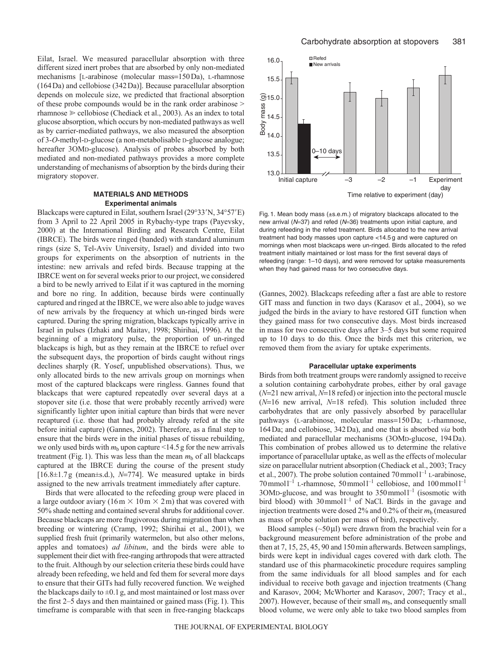Eilat, Israel. We measured paracellular absorption with three different sized inert probes that are absorbed by only non-mediated mechanisms [L-arabinose (molecular mass=150Da), L-rhamnose (164Da) and cellobiose (342Da)]. Because paracellular absorption depends on molecule size, we predicted that fractional absorption of these probe compounds would be in the rank order arabinose > rhamnose  $\geq$  cellobiose (Chediack et al., 2003). As an index to total glucose absorption, which occurs by non-mediated pathways as well as by carrier-mediated pathways, we also measured the absorption of 3-*O*-methyl-D-glucose (a non-metabolisable D-glucose analogue; hereafter 3OMD-glucose). Analysis of probes absorbed by both mediated and non-mediated pathways provides a more complete understanding of mechanisms of absorption by the birds during their migratory stopover.

# **MATERIALS AND METHODS Experimental animals**

Blackcaps were captured in Eilat, southern Israel  $(29°33'N, 34°57'E)$ from 3 April to 22 April 2005 in Rybachy-type traps (Payevsky, 2000) at the International Birding and Research Centre, Eilat (IBRCE). The birds were ringed (banded) with standard aluminum rings (size S, Tel-Aviv University, Israel) and divided into two groups for experiments on the absorption of nutrients in the intestine: new arrivals and refed birds. Because trapping at the IBRCE went on for several weeks prior to our project, we considered a bird to be newly arrived to Eilat if it was captured in the morning and bore no ring. In addition, because birds were continually captured and ringed at the IBRCE, we were also able to judge waves of new arrivals by the frequency at which un-ringed birds were captured. During the spring migration, blackcaps typically arrive in Israel in pulses (Izhaki and Maitav, 1998; Shirihai, 1996). At the beginning of a migratory pulse, the proportion of un-ringed blackcaps is high, but as they remain at the IBRCE to refuel over the subsequent days, the proportion of birds caught without rings declines sharply (R. Yosef, unpublished observations). Thus, we only allocated birds to the new arrivals group on mornings when most of the captured blackcaps were ringless. Gannes found that blackcaps that were captured repeatedly over several days at a stopover site (i.e. those that were probably recently arrived) were significantly lighter upon initial capture than birds that were never recaptured (i.e. those that had probably already refed at the site before initial capture) (Gannes, 2002). Therefore, as a final step to ensure that the birds were in the initial phases of tissue rebuilding, we only used birds with  $m_b$  upon capture <14.5 g for the new arrivals treatment (Fig. 1). This was less than the mean  $m<sub>b</sub>$  of all blackcaps captured at the IBRCE during the course of the present study  $[16.8 \pm 1.7$ g (mean $\pm$ s.d.), *N*=774]. We measured uptake in birds assigned to the new arrivals treatment immediately after capture.

Birds that were allocated to the refeeding group were placed in a large outdoor aviary (16m  $\times$  10m  $\times$  2m) that was covered with 50% shade netting and contained several shrubs for additional cover. Because blackcaps are more frugivorous during migration than when breeding or wintering (Cramp, 1992; Shirihai et al., 2001), we supplied fresh fruit (primarily watermelon, but also other melons, apples and tomatoes) *ad libitum*, and the birds were able to supplement their diet with free-ranging arthropods that were attracted to the fruit. Although by our selection criteria these birds could have already been refeeding, we held and fed them for several more days to ensure that their GITs had fully recovered function. We weighed the blackcaps daily to  $\pm 0.1$  g, and most maintained or lost mass over the first 2–5 days and then maintained or gained mass (Fig.1). This timeframe is comparable with that seen in free-ranging blackcaps



Fig. 1. Mean body mass (±s.e.m.) of migratory blackcaps allocated to the new arrival ( $N=37$ ) and refed ( $N=36$ ) treatments upon initial capture, and during refeeding in the refed treatment. Birds allocated to the new arrival treatment had body masses upon capture <14.5 g and were captured on mornings when most blackcaps were un-ringed. Birds allocated to the refed treatment initially maintained or lost mass for the first several days of refeeding (range: 1–10 days), and were removed for uptake measurements when they had gained mass for two consecutive days.

(Gannes, 2002). Blackcaps refeeding after a fast are able to restore GIT mass and function in two days (Karasov et al., 2004), so we judged the birds in the aviary to have restored GIT function when they gained mass for two consecutive days. Most birds increased in mass for two consecutive days after 3–5 days but some required up to 10 days to do this. Once the birds met this criterion, we removed them from the aviary for uptake experiments.

# **Paracellular uptake experiments**

Birds from both treatment groups were randomly assigned to receive a solution containing carbohydrate probes, either by oral gavage  $(N=21$  new arrival,  $N=18$  refed) or injection into the pectoral muscle  $(N=16$  new arrival,  $N=18$  refed). This solution included three carbohydrates that are only passively absorbed by paracellular pathways (L-arabinose, molecular mass=150Da; L-rhamnose, 164Da; and cellobiose, 342Da), and one that is absorbed *via* both mediated and paracellular mechanisms (3OMD-glucose, 194Da). This combination of probes allowed us to determine the relative importance of paracellular uptake, as well as the effects of molecular size on paracellular nutrient absorption (Chediack et al., 2003; Tracy et al., 2007). The probe solution contained 70 mmol  $l^{-1}$  L-arabinose,  $70 \text{ mmol}^{-1}$  L-rhamnose,  $50 \text{ mmol}^{-1}$  cellobiose, and  $100 \text{ mmol}^{-1}$  $3$ OMD-glucose, and was brought to  $350$  mmol  $l^{-1}$  (isosmotic with bird blood) with  $30 \text{ mmol}^{-1}$  of NaCl. Birds in the gavage and injection treatments were dosed 2% and 0.2% of their  $m_b$  (measured as mass of probe solution per mass of bird), respectively.

Blood samples  $(\sim 50 \,\mu$ l) were drawn from the brachial vein for a background measurement before administration of the probe and then at 7, 15, 25, 45, 90 and 150min afterwards. Between samplings, birds were kept in individual cages covered with dark cloth. The standard use of this pharmacokinetic procedure requires sampling from the same individuals for all blood samples and for each individual to receive both gavage and injection treatments (Chang and Karasov, 2004; McWhorter and Karasov, 2007; Tracy et al., 2007). However, because of their small *m*b, and consequently small blood volume, we were only able to take two blood samples from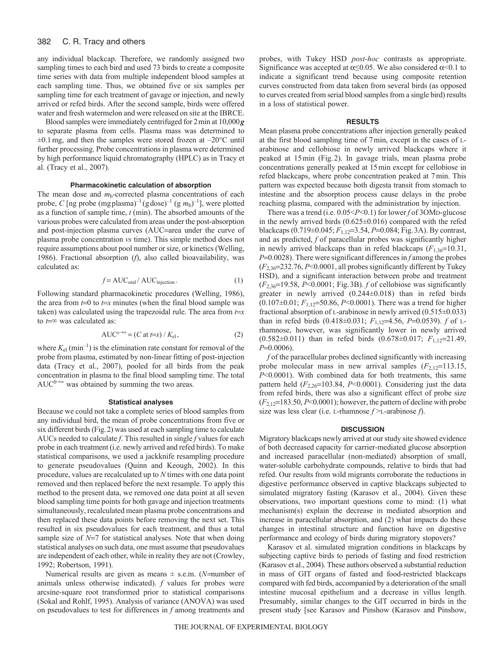#### 382 C. R. Tracy and others

any individual blackcap. Therefore, we randomly assigned two sampling times to each bird and used 73 birds to create a composite time series with data from multiple independent blood samples at each sampling time. Thus, we obtained five or six samples per sampling time for each treatment of gavage or injection, and newly arrived or refed birds. After the second sample, birds were offered water and fresh watermelon and were released on site at the IBRCE.

Blood samples were immediately centrifuged for 2min at 10,000*g* to separate plasma from cells. Plasma mass was determined to  $\pm 0.1$  mg, and then the samples were stored frozen at  $-20^{\circ}$ C until further processing. Probe concentrations in plasma were determined by high performance liquid chromatography (HPLC) as in Tracy et al. (Tracy et al., 2007).

# **Pharmacokinetic calculation of absorption**

The mean dose and  $m_b$ -corrected plasma concentrations of each probe, *C* [ng probe (mg plasma)<sup>-1</sup> (g dose)<sup>-1</sup> (g  $m_b$ )<sup>-1</sup>], were plotted as a function of sample time, *t* (min). The absorbed amounts of the various probes were calculated from areas under the post-absorption and post-injection plasma curves (AUC=area under the curve of plasma probe concentration *vs* time). This simple method does not require assumptions about pool number or size, or kinetics (Welling, 1986). Fractional absorption (*f*), also called bioavailability, was calculated as:

$$
f = AUC_{\text{oral}} / AUC_{\text{injection}}.
$$
 (1)

Following standard pharmacokinetic procedures (Welling, 1986), the area from  $t=0$  to  $t=x$  minutes (when the final blood sample was taken) was calculated using the trapezoidal rule. The area from  $t=x$ to  $t = \infty$  was calculated as:

$$
AUC^{x\to\infty} = (C \text{ at } t=x) / K_{\text{el}},
$$
 (2)

where  $K_{el}$  (min<sup>-1</sup>) is the elimination rate constant for removal of the probe from plasma, estimated by non-linear fitting of post-injection data (Tracy et al., 2007), pooled for all birds from the peak concentration in plasma to the final blood sampling time. The total AUC $^{0\rightarrow\infty}$  was obtained by summing the two areas.

## **Statistical analyses**

Because we could not take a complete series of blood samples from any individual bird, the mean of probe concentrations from five or six different birds (Fig.2) was used at each sampling time to calculate AUCs needed to calculate *f*. This resulted in single *f* values for each probe in each treatment (i.e. newly arrived and refed birds). To make statistical comparisons, we used a jackknife resampling procedure to generate pseudovalues (Quinn and Keough, 2002). In this procedure, values are recalculated up to *N* times with one data point removed and then replaced before the next resample. To apply this method to the present data, we removed one data point at all seven blood sampling time points for both gavage and injection treatments simultaneously, recalculated mean plasma probe concentrations and then replaced these data points before removing the next set. This resulted in six pseudovalues for each treatment, and thus a total sample size of  $N=7$  for statistical analyses. Note that when doing statistical analyses on such data, one must assume that pseudovalues are independent of each other, while in reality they are not (Crowley, 1992; Robertson, 1991).

Numerical results are given as means  $\pm$  s.e.m. (*N*=number of animals unless otherwise indicated). *f* values for probes were arcsine-square root transformed prior to statistical comparisons (Sokal and Rohlf, 1995). Analysis of variance (ANOVA) was used on pseudovalues to test for differences in *f* among treatments and probes, with Tukey HSD *post-hoc* contrasts as appropriate. Significance was accepted at  $\alpha \leq 0.05$ . We also considered  $\alpha \leq 0.1$  to indicate a significant trend because using composite retention curves constructed from data taken from several birds (as opposed to curves created from serial blood samples from a single bird) results in a loss of statistical power.

# **RESULTS**

Mean plasma probe concentrations after injection generally peaked at the first blood sampling time of 7min, except in the cases of Larabinose and cellobiose in newly arrived blackcaps where it peaked at 15min (Fig.2). In gavage trials, mean plasma probe concentrations generally peaked at 15min except for cellobiose in refed blackcaps, where probe concentration peaked at 7min. This pattern was expected because both digesta transit from stomach to intestine and the absorption process cause delays in the probe reaching plasma, compared with the administration by injection.

There was a trend (i.e. 0.05<*P*<0.1) for lower *f* of 3OMD-glucose in the newly arrived birds (0.625±0.016) compared with the refed blackcaps (0.719±0.045;  $F_{1,12}$ =3.54, *P*=0.084; Fig. 3A). By contrast, and as predicted, *f* of paracellular probes was significantly higher in newly arrived blackcaps than in refed blackcaps  $(F_{1,36}=10.31,$  $P=0.0028$ ). There were significant differences in  $f$  among the probes  $(F_{2,36}=232.76, P<0.0001,$  all probes significantly different by Tukey HSD), and a significant interaction between probe and treatment  $(F_{2,36}=19.58, P<0.0001$ ; Fig. 3B). *f* of cellobiose was significantly greater in newly arrived (0.244±0.018) than in refed birds  $(0.107\pm0.01; F_{1,12}=50.86, P<0.0001)$ . There was a trend for higher fractional absorption of L-arabinose in newly arrived (0.515±0.033) than in refed birds (0.418±0.031;  $F_{1,12}$ =4.56, P=0.0539). *f* of Lrhamnose, however, was significantly lower in newly arrived  $(0.582\pm0.011)$  than in refed birds  $(0.678\pm0.017; F_{1,12}=21.49)$ , *P*=0.0006).

*f* of the paracellular probes declined significantly with increasing probe molecular mass in new arrival samples  $(F_{2,12}=113.15,$ *P*<0.0001). With combined data for both treatments, this same pattern held  $(F_{2,26}=103.84, P<0.0001)$ . Considering just the data from refed birds, there was also a significant effect of probe size  $(F_{2,12}=183.50, P<0.0001)$ ; however, the pattern of decline with probe size was less clear (i.e. L-rhamnose *f* >L-arabinose *f*).

# **DISCUSSION**

Migratory blackcaps newly arrived at our study site showed evidence of both decreased capacity for carrier-mediated glucose absorption and increased paracellular (non-mediated) absorption of small, water-soluble carbohydrate compounds, relative to birds that had refed. Our results from wild migrants corroborate the reductions in digestive performance observed in captive blackcaps subjected to simulated migratory fasting (Karasov et al., 2004). Given these observations, two important questions come to mind: (1) what mechanism(s) explain the decrease in mediated absorption and increase in paracellular absorption, and (2) what impacts do these changes in intestinal structure and function have on digestive performance and ecology of birds during migratory stopovers?

Karasov et al. simulated migration conditions in blackcaps by subjecting captive birds to periods of fasting and food restriction (Karasov et al., 2004). These authors observed a substantial reduction in mass of GIT organs of fasted and food-restricted blackcaps compared with fed birds, accompanied by a deterioration of the small intestine mucosal epithelium and a decrease in villus length. Presumably, similar changes to the GIT occurred in birds in the present study [see Karasov and Pinshow (Karasov and Pinshow,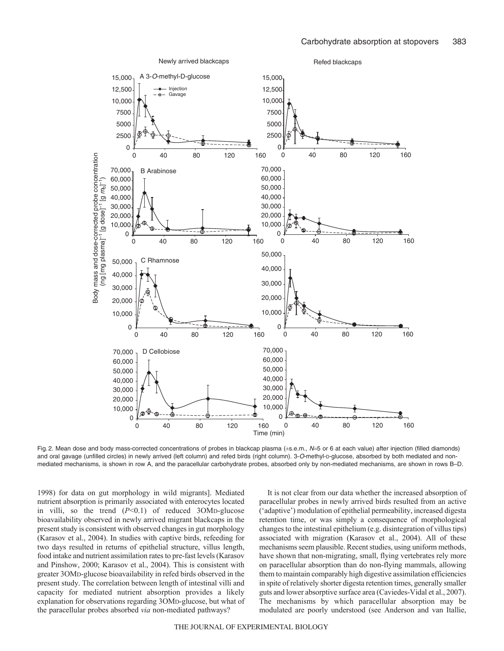

Fig. 2. Mean dose and body mass-corrected concentrations of probes in blackcap plasma  $(\pm s.e.m., N=5$  or 6 at each value) after injection (filled diamonds) and oral gavage (unfilled circles) in newly arrived (left column) and refed birds (right column). 3-O-methyl-D-glucose, absorbed by both mediated and nonmediated mechanisms, is shown in row A, and the paracellular carbohydrate probes, absorbed only by non-mediated mechanisms, are shown in rows B–D.

1998) for data on gut morphology in wild migrants]. Mediated nutrient absorption is primarily associated with enterocytes located in villi, so the trend (*P*<0.1) of reduced 3OMD-glucose bioavailability observed in newly arrived migrant blackcaps in the present study is consistent with observed changes in gut morphology (Karasov et al., 2004). In studies with captive birds, refeeding for two days resulted in returns of epithelial structure, villus length, food intake and nutrient assimilation rates to pre-fast levels (Karasov and Pinshow, 2000; Karasov et al., 2004). This is consistent with greater 3OMD-glucose bioavailability in refed birds observed in the present study. The correlation between length of intestinal villi and capacity for mediated nutrient absorption provides a likely explanation for observations regarding 3OMD-glucose, but what of the paracellular probes absorbed *via* non-mediated pathways?

It is not clear from our data whether the increased absorption of paracellular probes in newly arrived birds resulted from an active ('adaptive') modulation of epithelial permeability, increased digesta retention time, or was simply a consequence of morphological changes to the intestinal epithelium (e.g. disintegration of villus tips) associated with migration (Karasov et al., 2004). All of these mechanisms seem plausible. Recent studies, using uniform methods, have shown that non-migrating, small, flying vertebrates rely more on paracellular absorption than do non-flying mammals, allowing them to maintain comparably high digestive assimilation efficiencies in spite of relatively shorter digesta retention times, generally smaller guts and lower absorptive surface area (Caviedes-Vidal et al., 2007). The mechanisms by which paracellular absorption may be modulated are poorly understood (see Anderson and van Itallie,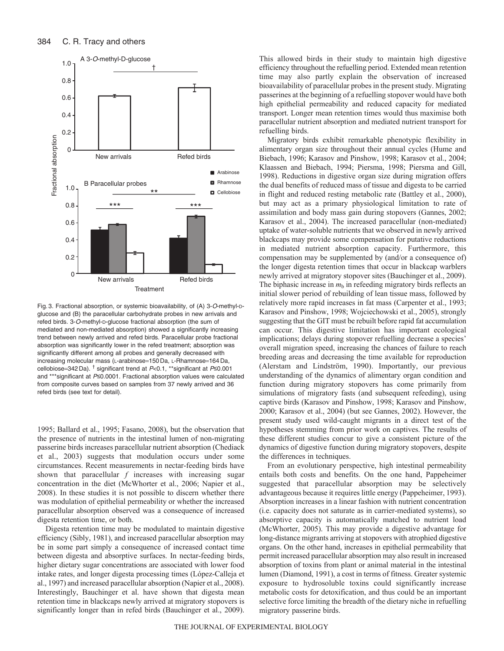

Fig. 3. Fractional absorption, or systemic bioavailability, of (A) 3-O-methyl-Dglucose and (B) the paracellular carbohydrate probes in new arrivals and refed birds. 3-O-methyl-D-glucose fractional absorption (the sum of mediated and non-mediated absorption) showed a significantly increasing trend between newly arrived and refed birds. Paracellular probe fractional absorption was significantly lower in the refed treatment; absorption was significantly different among all probes and generally decreased with increasing molecular mass (L-arabinose=150 Da, L-Rhamnose=164 Da, cellobiose=342 Da). <sup>†</sup> significant trend at  $P<0.1$ , \*\*significant at  $P\leq 0.001$ and \*\*\*significant at P≤0.0001. Fractional absorption values were calculated from composite curves based on samples from 37 newly arrived and 36 refed birds (see text for detail).

1995; Ballard et al., 1995; Fasano, 2008), but the observation that the presence of nutrients in the intestinal lumen of non-migrating passerine birds increases paracellular nutrient absorption (Chediack et al., 2003) suggests that modulation occurs under some circumstances. Recent measurements in nectar-feeding birds have shown that paracellular *f* increases with increasing sugar concentration in the diet (McWhorter et al., 2006; Napier et al., 2008). In these studies it is not possible to discern whether there was modulation of epithelial permeability or whether the increased paracellular absorption observed was a consequence of increased digesta retention time, or both.

Digesta retention time may be modulated to maintain digestive efficiency (Sibly, 1981), and increased paracellular absorption may be in some part simply a consequence of increased contact time between digesta and absorptive surfaces. In nectar-feeding birds, higher dietary sugar concentrations are associated with lower food intake rates, and longer digesta processing times (López-Calleja et al., 1997) and increased paracellular absorption (Napier et al., 2008). Interestingly, Bauchinger et al. have shown that digesta mean retention time in blackcaps newly arrived at migratory stopovers is significantly longer than in refed birds (Bauchinger et al., 2009). This allowed birds in their study to maintain high digestive efficiency throughout the refuelling period. Extended mean retention time may also partly explain the observation of increased bioavailability of paracellular probes in the present study. Migrating passerines at the beginning of a refuelling stopover would have both high epithelial permeability and reduced capacity for mediated transport. Longer mean retention times would thus maximise both paracellular nutrient absorption and mediated nutrient transport for refuelling birds.

Migratory birds exhibit remarkable phenotypic flexibility in alimentary organ size throughout their annual cycles (Hume and Biebach, 1996; Karasov and Pinshow, 1998; Karasov et al., 2004; Klaassen and Biebach, 1994; Piersma, 1998; Piersma and Gill, 1998). Reductions in digestive organ size during migration offers the dual benefits of reduced mass of tissue and digesta to be carried in flight and reduced resting metabolic rate (Battley et al., 2000), but may act as a primary physiological limitation to rate of assimilation and body mass gain during stopovers (Gannes, 2002; Karasov et al., 2004). The increased paracellular (non-mediated) uptake of water-soluble nutrients that we observed in newly arrived blackcaps may provide some compensation for putative reductions in mediated nutrient absorption capacity. Furthermore, this compensation may be supplemented by (and/or a consequence of) the longer digesta retention times that occur in blackcap warblers newly arrived at migratory stopover sites (Bauchinger et al., 2009). The biphasic increase in  $m<sub>b</sub>$  in refeeding migratory birds reflects an initial slower period of rebuilding of lean tissue mass, followed by relatively more rapid increases in fat mass (Carpenter et al., 1993; Karasov and Pinshow, 1998; Wojciechowski et al., 2005), strongly suggesting that the GIT must be rebuilt before rapid fat accumulation can occur. This digestive limitation has important ecological implications; delays during stopover refuelling decrease a species' overall migration speed, increasing the chances of failure to reach breeding areas and decreasing the time available for reproduction (Alerstam and Lindström, 1990). Importantly, our previous understanding of the dynamics of alimentary organ condition and function during migratory stopovers has come primarily from simulations of migratory fasts (and subsequent refeeding), using captive birds (Karasov and Pinshow, 1998; Karasov and Pinshow, 2000; Karasov et al., 2004) (but see Gannes, 2002). However, the present study used wild-caught migrants in a direct test of the hypotheses stemming from prior work on captives. The results of these different studies concur to give a consistent picture of the dynamics of digestive function during migratory stopovers, despite the differences in techniques.

From an evolutionary perspective, high intestinal permeability entails both costs and benefits. On the one hand, Pappeheimer suggested that paracellular absorption may be selectively advantageous because it requires little energy (Pappeheimer, 1993). Absorption increases in a linear fashion with nutrient concentration (i.e. capacity does not saturate as in carrier-mediated systems), so absorptive capacity is automatically matched to nutrient load (McWhorter, 2005). This may provide a digestive advantage for long-distance migrants arriving at stopovers with atrophied digestive organs. On the other hand, increases in epithelial permeability that permit increased paracellular absorption may also result in increased absorption of toxins from plant or animal material in the intestinal lumen (Diamond, 1991), a cost in terms of fitness. Greater systemic exposure to hydrosoluble toxins could significantly increase metabolic costs for detoxification, and thus could be an important selective force limiting the breadth of the dietary niche in refuelling migratory passerine birds.